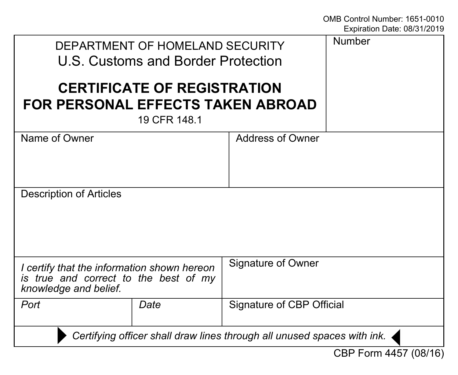| DEPARTMENT OF HOMELAND SECURITY<br>U.S. Customs and Border Protection                                         |      |                           | <b>Number</b> |
|---------------------------------------------------------------------------------------------------------------|------|---------------------------|---------------|
| <b>CERTIFICATE OF REGISTRATION</b><br><b>FOR PERSONAL EFFECTS TAKEN ABROAD</b><br>19 CFR 148.1                |      |                           |               |
| Name of Owner                                                                                                 |      | Address of Owner          |               |
| Description of Articles                                                                                       |      |                           |               |
| I certify that the information shown hereon<br>is true and correct to the best of my<br>knowledge and belief. |      | Signature of Owner        |               |
| Port                                                                                                          | Date | Signature of CBP Official |               |
| Certifying officer shall draw lines through all unused spaces with ink.                                       |      |                           |               |
| CBP Form 4457 (08/16)                                                                                         |      |                           |               |